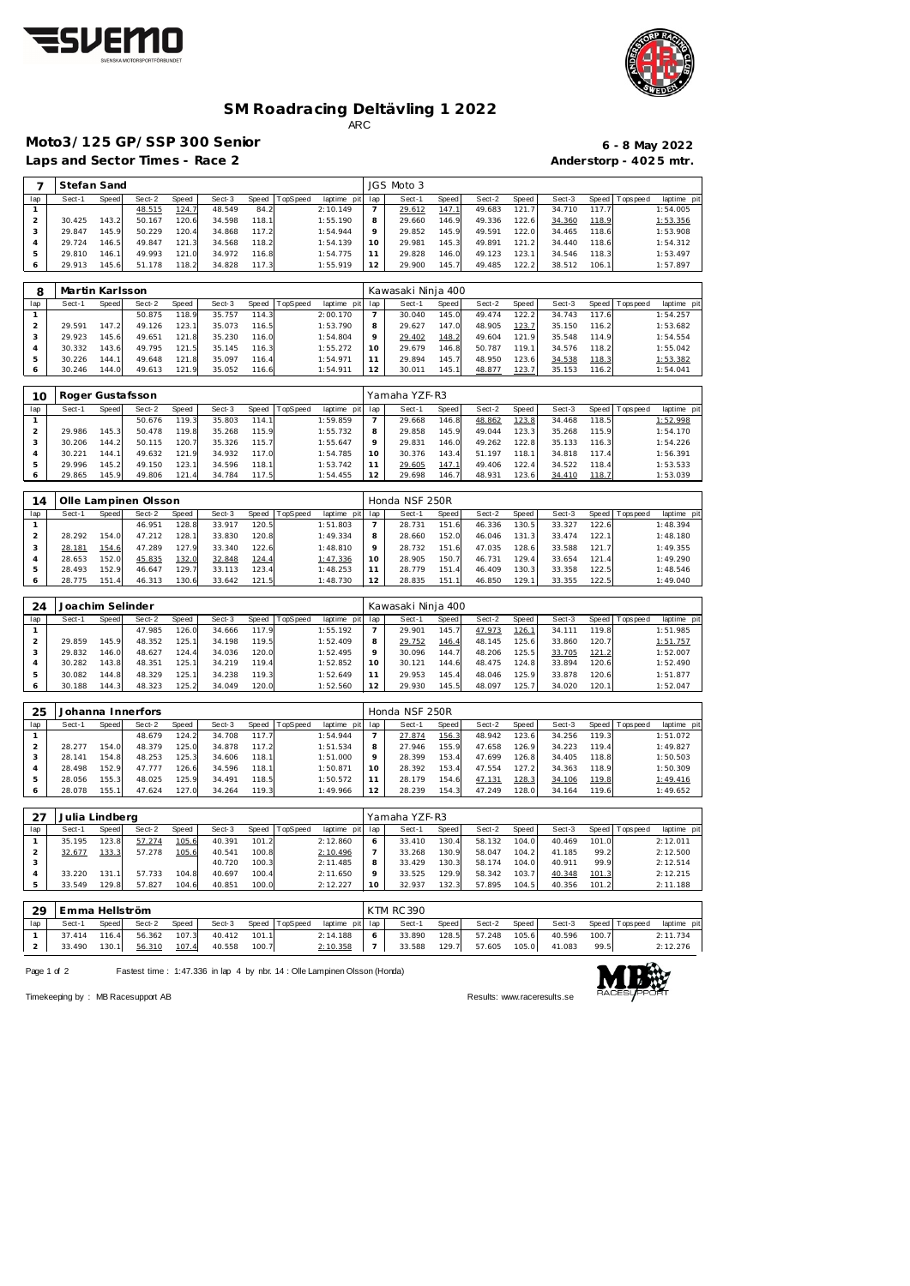



## **SM Roadracing Deltävling 1 2022** ARC

**Moto3/125 GP/SSP 300 Senior 6 - 8 May 2022**

Laps and Sector Times - Race 2 **Anderstorp - 4025 mtr.** 

| 7              | Stefan Sand     |              |                  |       |        |              |          |             |                | JGS Moto 3         |       |        |       |        |       |             |            |
|----------------|-----------------|--------------|------------------|-------|--------|--------------|----------|-------------|----------------|--------------------|-------|--------|-------|--------|-------|-------------|------------|
| lap            | Sect-1          | Speed        | Sect-2           | Speed | Sect-3 | <b>Speed</b> | TopSpeed | laptime pit | lap            | Sect-1             | Speed | Sect-2 | Speed | Sect-3 | Speed | Topspeed    | laptime pi |
| $\mathbf{1}$   |                 |              | 48.515           | 124.7 | 48.549 | 84.2         |          | 2:10.149    | $\overline{7}$ | 29.612             | 147.1 | 49.683 | 121.7 | 34.710 | 117.7 |             | 1:54.005   |
| $\overline{2}$ | 30.425          | 143.2        | 50.167           | 120.6 | 34.598 | 118.1        |          | 1:55.190    | 8              | 29.660             | 146.9 | 49.336 | 122.6 | 34.360 | 118.9 |             | 1:53.356   |
| 3              | 29.847          | 145.9        | 50.229           | 120.4 | 34.868 | 117.2        |          | 1:54.944    | $\circ$        | 29.852             | 145.9 | 49.591 | 122.0 | 34.465 | 118.6 |             | 1:53.908   |
| $\overline{4}$ | 29.724          | 146.5        | 49.847           | 121.3 | 34.568 | 118.2        |          | 1:54.139    | 10             | 29.981             | 145.3 | 49.891 | 121.2 | 34.440 | 118.6 |             | 1:54.312   |
| 5              | 29.810          | 146.1        | 49.993           | 121.0 | 34.972 | 116.8        |          | 1:54.775    | 11             | 29.828             | 146.0 | 49.123 | 123.1 | 34.546 | 118.3 |             | 1:53.497   |
| 6              | 29.913          | 145.6        | 51.178           | 118.2 | 34.828 | 117.3        |          | 1:55.919    | 12             | 29.900             | 145.7 | 49.485 | 122.2 | 38.512 | 106.1 |             | 1:57.897   |
|                |                 |              |                  |       |        |              |          |             |                |                    |       |        |       |        |       |             |            |
| 8              | Martin Karlsson |              |                  |       |        |              |          |             |                | Kawasaki Ninja 400 |       |        |       |        |       |             |            |
| lap            | Sect-1          | <b>Speed</b> | Sect-2           | Speed | Sect-3 | Speed        | TopSpeed | laptime pit | lap            | Sect-1             | Speed | Sect-2 | Speed | Sect-3 | Speed | Tops peed   | laptime pi |
| $\mathbf{1}$   |                 |              | 50.875           | 118.9 | 35.757 | 114.3        |          | 2:00.170    | $\overline{7}$ | 30.040             | 145.0 | 49.474 | 122.2 | 34.743 | 117.6 |             | 1:54.257   |
| $\overline{2}$ | 29.591          | 147.2        | 49.126           | 123.1 | 35.073 | 116.5        |          | 1:53.790    | 8              | 29.627             | 147.0 | 48.905 | 123.7 | 35.150 | 116.2 |             | 1:53.682   |
| 3              | 29.923          | 145.6        | 49.651           | 121.8 | 35.230 | 116.0        |          | 1:54.804    | 9              | 29.402             | 148.2 | 49.604 | 121.9 | 35.548 | 114.9 |             | 1:54.554   |
| 4              | 30.332          | 143.6        | 49.795           | 121.5 | 35.145 | 116.3        |          | 1:55.272    | 10             | 29.679             | 146.8 | 50.787 | 119.1 | 34.576 | 118.2 |             | 1:55.042   |
| 5              | 30.226          | 144.1        | 49.648           | 121.8 | 35.097 | 116.4        |          | 1:54.971    | 11             | 29.894             | 145.7 | 48.950 | 123.6 | 34.538 | 118.3 |             | 1:53.382   |
| 6              | 30.246          | 144.0        | 49.613           | 121.9 | 35.052 | 116.6        |          | 1:54.911    | 12             | 30.011             | 145.1 | 48.877 | 123.7 | 35.153 | 116.2 |             | 1:54.041   |
|                |                 |              |                  |       |        |              |          |             |                |                    |       |        |       |        |       |             |            |
| 10             |                 |              | Roger Gustafsson |       |        |              |          |             |                | Yamaha YZF-R3      |       |        |       |        |       |             |            |
| lap            | Sect-1          | Speed        | Sect-2           | Speed | Sect-3 | Speed        | TopSpeed | laptime pit | lap            | Sect-1             | Speed | Sect-2 | Speed | Sect-3 | Speed | T ops pee d | laptime pi |
| $\mathbf{1}$   |                 |              | 50.676           | 119.3 | 35.803 | 114.1        |          | 1:59.859    | $\overline{7}$ | 29.668             | 146.8 | 48.862 | 123.8 | 34.468 | 118.5 |             | 1:52.998   |
| $\overline{2}$ | 29.986          | 145.3        | 50.478           | 119.8 | 35.268 | 115.9        |          | 1:55.732    | 8              | 29.858             | 145.9 | 49.044 | 123.3 | 35.268 | 115.9 |             | 1:54.170   |
| 3              | 30.206          | 144.2        | 50.115           | 120.7 | 35.326 | 115.7        |          | 1:55.647    | 9              | 29.831             | 146.0 | 49.262 | 122.8 | 35.133 | 116.3 |             | 1:54.226   |
| 4              | 30.221          | 144.1        | 49.632           | 121.9 | 34.932 | 117.0        |          | 1:54.785    | 10             | 30.376             | 143.4 | 51.197 | 118.1 | 34.818 | 117.4 |             | 1:56.391   |
| 5              | 29.996          | 145.2        | 49.150           | 123.1 | 34.596 | 118.1        |          | 1:53.742    | 11             | 29.605             | 147.1 | 49.406 | 122.4 | 34.522 | 118.4 |             | 1:53.533   |
| 6              | 29.865          | 145.9        | 49.806           | 121.4 | 34.784 | 117.5        |          | 1:54.455    | 12             | 29.698             | 146.7 | 48.931 | 123.6 | 34.410 | 118.7 |             | 1:53.039   |
|                |                 |              |                  |       |        |              |          |             |                |                    |       |        |       |        |       |             |            |
|                |                 |              |                  |       |        |              |          |             |                |                    |       |        |       |        |       |             |            |

| $\overline{4}$ |        |                        | Olle Lampinen Olsson |       |        |       |          |                 |            | Honda NSF 250R |       |        |       |        |       |                 |             |
|----------------|--------|------------------------|----------------------|-------|--------|-------|----------|-----------------|------------|----------------|-------|--------|-------|--------|-------|-----------------|-------------|
| lap            | Sect-1 | Speed                  | Sect-2               | Speed | Sect-3 | Speed | TopSpeed | laptime pit lap |            | Sect-1         | Speed | Sect-2 | Speed | Sect-3 |       | Speed Tops peed | laptime pit |
|                |        |                        | 46.951               | 128.8 | 33.917 | 120.5 |          | 1:51.803        |            | 28.731         | 151.6 | 46.336 | 130.5 | 33.327 | 122.6 |                 | 1:48.394    |
|                | 28.292 | 154.0                  | 47.212               | 128.  | 33.830 | 120.8 |          | 1:49.334        | 8          | 28.660         | 152.0 | 46.046 | 131.3 | 33.474 | 122.1 |                 | 1:48.180    |
|                | 28.181 | 154.6                  | 47.289               | 127.9 | 33.340 | 122.6 |          | 1:48.810        |            | 28.732         | 151.6 | 47.035 | 128.6 | 33.588 | 121.7 |                 | 1:49.355    |
|                | 28.653 | 152.0                  | 45.835               | 132.0 | 32.848 | 124.4 |          | 1:47.336        |            | 28.905         | 150   | 46.731 | 129.4 | 33.654 | 121.4 |                 | 1:49.290    |
|                | 28.493 | 152.9                  | 46.647               | 129.7 | 33.113 | 123.4 |          | 1:48.253        |            | 28.779         | 151.4 | 46.409 | 130.3 | 33.358 | 122.5 |                 | 1:48.546    |
|                | 28.775 | 151.<br>$\overline{4}$ | 46.313               | 130.6 | 33.642 | 121.5 |          | 1:48.730        | $\bigcirc$ | 28.835         | 151.  | 46.850 | 129.1 | 33.355 | 122.5 |                 | 1:49.040    |

| 24  | Joachim Selinder |       |        |       |        |       |          |          |         | Kawasaki Ninja 400 |       |        |               |        |       |                 |             |
|-----|------------------|-------|--------|-------|--------|-------|----------|----------|---------|--------------------|-------|--------|---------------|--------|-------|-----------------|-------------|
| lap | Sect-1           | Speed | Sect-2 | Speed | Sect-3 | Speed | TopSpeed | laptime  | pit lap | Sect-1             | Speed | Sect-2 | Speed         | Sect-3 |       | Speed Tops peed | laptime pit |
|     |                  |       | 47.985 | 126.0 | 34.666 | 117.9 |          | 1:55.192 |         | 29.901             | 145.7 | 47.973 | <u> 126.1</u> | 34.111 | 119.8 |                 | 1:51.985    |
|     | 29.859           | 145.9 | 48.352 | 125.1 | 34.198 | 119.5 |          | 1:52.409 | 8       | 29.752             | 146.4 | 48.145 | 125.6         | 33.860 | 120.7 |                 | 1:51.757    |
|     | 29.832           | 146.0 | 48.627 | 124.4 | 34.036 | 120.0 |          | 1:52.495 | $\circ$ | 30.096             | 144.7 | 48.206 | 125.51        | 33.705 | 121.2 |                 | 1:52.007    |
|     | 30.282           | 143.8 | 48.351 | 125.  | 34.219 | 119.4 |          | 1:52.852 | 10      | 30.121             | 144.6 | 48.475 | 124.8         | 33.894 | 120.6 |                 | 1:52.490    |
|     | 30.082           | 144.8 | 48.329 | 125.7 | 34.238 | 119.3 |          | 1:52.649 |         | 29.953             | 145.4 | 48.046 | 125.9         | 33.878 | 120.6 |                 | 1:51.877    |
|     | 30.188           | 144.3 | 48.323 | 125.2 | 34.049 | 120.0 |          | 1:52.560 | 12      | 29.930             | 145.5 | 48.097 | 125.7         | 34.020 | 120.1 |                 | 1:52.047    |

| 25  |        |       | Johanna Innerfors |       |        |       |          |                 |         | Honda NSF 250R |       |        |       |        |       |                   |             |
|-----|--------|-------|-------------------|-------|--------|-------|----------|-----------------|---------|----------------|-------|--------|-------|--------|-------|-------------------|-------------|
| lap | Sect-1 | Speed | Sect-2            | Speed | Sect-3 | Speed | TopSpeed | laptime pit lap |         | Sect-1         | Speed | Sect-2 | Speed | Sect-3 |       | Speed   Tops peed | laptime pit |
|     |        |       | 48.679            | 124.2 | 34.708 | 117.7 |          | 1:54.944        |         | 27.874         | 156.3 | 48.942 | 123.6 | 34.256 | 119.3 |                   | 1:51.072    |
|     | 28.277 | 154.0 | 48.379            | 125.0 | 34.878 | 117.2 |          | 1:51.534        | 8       | 27.946         | 155.9 | 47.658 | 126.9 | 34.223 | 119.4 |                   | 1:49.827    |
|     | 28.141 | 154.8 | 48.253            | 125.3 | 34.606 | 118.1 |          | 1:51.000        | $\circ$ | 28.399         | 153.4 | 47.699 | 126.8 | 34.405 | 118.8 |                   | 1:50.503    |
|     | 28.498 | 152.9 | 47.777            | 126.6 | 34.596 | 118.1 |          | 1:50.871        | 10      | 28.392         | 153.4 | 47.554 | 127.2 | 34.363 | 118.9 |                   | 1:50.309    |
| 5   | 28.056 | 155.3 | 48.025            | 125.9 | 34.491 | 118.5 |          | 1:50.572        |         | 28.179         | 154.6 | 47.131 | 128.3 | 34.106 | 119.8 |                   | 1:49.416    |
|     | 28.078 | 155.1 | 47.624            | 127.0 | 34.264 | 119.3 |          | 1:49.966        | 12      | 28.239         | 154.3 | 47.249 | 128.0 | 34.164 | 119.6 |                   | 1:49.652    |

| 27  | Julia Lindberg |       |        |       |        |       |                 |             |              | Yamaha YZF-R3 |              |        |       |        |         |            |             |
|-----|----------------|-------|--------|-------|--------|-------|-----------------|-------------|--------------|---------------|--------------|--------|-------|--------|---------|------------|-------------|
| lap | Sect-1         | Speed | Sect-2 | Speed | Sect-3 | Speed | <b>TopSpeed</b> | laptime pit | lap          | Sect-1        | <b>Speed</b> | Sect-2 | Speed | Sect-3 | Speed I | Tops pee d | laptime pit |
|     | 35.195         | 123.8 | 57.274 | 105.6 | 40.391 | 101.2 |                 | 2:12.860    | <sup>6</sup> | 33.410        | 130.4        | 58.132 | 104.0 | 40.469 | 101.0   |            | 2:12.011    |
|     | 32.677         | 133.3 | 57.278 | 105.6 | 40.541 | 100.8 |                 | 2:10.496    |              | 33.268        | 130.9        | 58.047 | 104.2 | 41.185 | 99.2    |            | 2:12.500    |
|     |                |       |        |       | 40.720 | 100.3 |                 | 2:11.485    |              | 33.429        | 130.3        | 58.174 | 104.0 | 40.911 | 99.9    |            | 2:12.514    |
|     | 33.220         | 131.  | 57.733 | 104.8 | 40.697 | 100.4 |                 | 2:11.650    |              | 33.525        | 129.9        | 58.342 | 103.7 | 40.348 | 101.3   |            | 2:12.215    |
|     | 33.549         | 129.8 | 57.827 | 104.6 | 40.851 | 100.0 |                 | 2:12.227    | 10           | 32.937        | 132.3        | 57.895 | 104.5 | 40.356 | 101.2   |            | 2:11.188    |

|     | 29 | Emma Hellström |       |        |       |        |       |                |                 | KTM RC 390 |       |        |       |        |       |                |            |
|-----|----|----------------|-------|--------|-------|--------|-------|----------------|-----------------|------------|-------|--------|-------|--------|-------|----------------|------------|
| lap |    | Sect-1         | Speed | Sect-2 | Speed | Sect-3 |       | Speed TopSpeed | laptime pit lap | Sect-1     | Speed | Sect-2 | Speed | Sect-3 |       | Speed Topspeed | laptime pi |
|     |    | 37.414         | 116.4 | 56.362 | 107.3 | 40.412 | 101.1 |                | 2:14.188        | 33.890     | 128.5 | 57.248 | 105.6 | 40.596 | 100.7 |                | 2:11.734   |
|     |    | 33.490         | 130.1 | 56.310 | 107.4 | 40.558 | 100.7 |                | 2:10.358        | 33.588     | 129.7 | 57.605 | 105.0 | 41.083 | 99.5  |                | 2:12.276   |

Page 1 of 2 Fastest time : 1:47.336 in lap 4 by nbr. 14 : Olle Lampinen Olsson (Honda)



Timekeeping by : MB Racesupport AB Results:<www.raceresults.se>